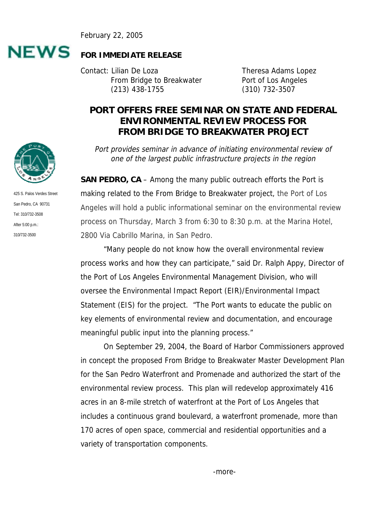February 22, 2005



## **FOR IMMEDIATE RELEASE**

Contact: Lilian De Loza **Theresa Adams** Lopez From Bridge to Breakwater Port of Los Angeles (213) 438-1755 (310) 732-3507

## **PORT OFFERS FREE SEMINAR ON STATE AND FEDERAL ENVIRONMENTAL REVIEW PROCESS FOR FROM BRIDGE TO BREAKWATER PROJECT**

Port provides seminar in advance of initiating environmental review of one of the largest public infrastructure projects in the region

**SAN PEDRO, CA** – Among the many public outreach efforts the Port is making related to the From Bridge to Breakwater project, the Port of Los Angeles will hold a public informational seminar on the environmental review process on Thursday, March 3 from 6:30 to 8:30 p.m. at the Marina Hotel, 2800 Via Cabrillo Marina, in San Pedro.

"Many people do not know how the overall environmental review process works and how they can participate," said Dr. Ralph Appy, Director of the Port of Los Angeles Environmental Management Division, who will oversee the Environmental Impact Report (EIR)/Environmental Impact Statement (EIS) for the project. "The Port wants to educate the public on key elements of environmental review and documentation, and encourage meaningful public input into the planning process."

On September 29, 2004, the Board of Harbor Commissioners approved in concept the proposed From Bridge to Breakwater Master Development Plan for the San Pedro Waterfront and Promenade and authorized the start of the environmental review process. This plan will redevelop approximately 416 acres in an 8-mile stretch of waterfront at the Port of Los Angeles that includes a continuous grand boulevard, a waterfront promenade, more than 170 acres of open space, commercial and residential opportunities and a variety of transportation components.



425 S. Palos Verdes Street San Pedro, CA 90731 Tel: 310/732-3508 After 5:00 p.m.: 310/732-3500